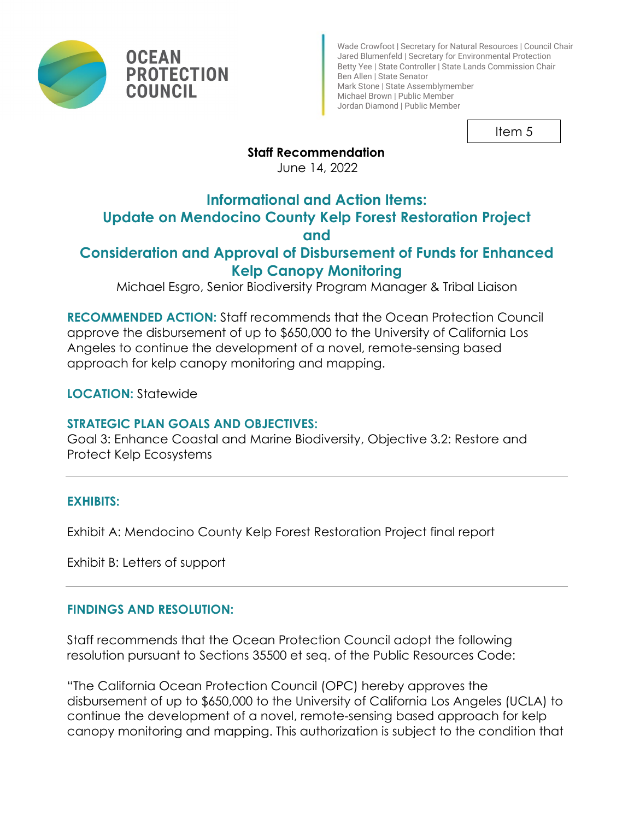



Wade Crowfoot | Secretary for Natural Resources | Council Chair Jared Blumenfeld | Secretary for Environmental Protection Betty Yee | State Controller | State Lands Commission Chair Ben Allen | State Senator Mark Stone | State Assemblymember Michael Brown | Public Member Jordan Diamond | Public Member

Item 5

## **Staff Recommendation**

June 14, 2022

# **Informational and Action Items:**

# **Update on Mendocino County Kelp Forest Restoration Project**

## **and**

## **Consideration and Approval of Disbursement of Funds for Enhanced Kelp Canopy Monitoring**

Michael Esgro, Senior Biodiversity Program Manager & Tribal Liaison

**RECOMMENDED ACTION:** Staff recommends that the Ocean Protection Council approve the disbursement of up to \$650,000 to the University of California Los Angeles to continue the development of a novel, remote-sensing based approach for kelp canopy monitoring and mapping.

**LOCATION:** Statewide

## **STRATEGIC PLAN GOALS AND OBJECTIVES:**

Goal 3: Enhance Coastal and Marine Biodiversity, Objective 3.2: Restore and Protect Kelp Ecosystems

## **EXHIBITS:**

Exhibit A: Mendocino County Kelp Forest Restoration Project final report

Exhibit B: Letters of support

## **FINDINGS AND RESOLUTION:**

Staff recommends that the Ocean Protection Council adopt the following resolution pursuant to Sections 35500 et seq. of the Public Resources Code:

"The California Ocean Protection Council (OPC) hereby approves the disbursement of up to \$650,000 to the University of California Los Angeles (UCLA) to continue the development of a novel, remote-sensing based approach for kelp canopy monitoring and mapping. This authorization is subject to the condition that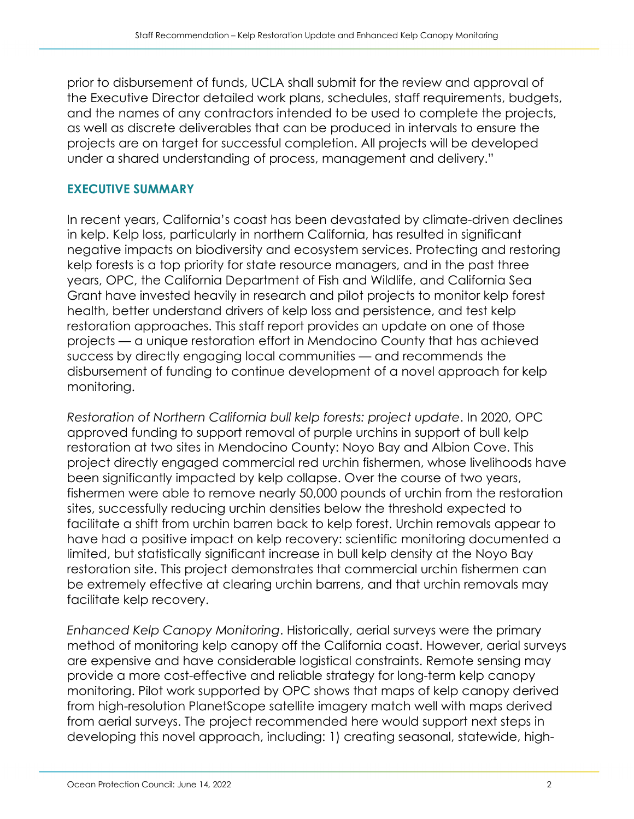prior to disbursement of funds, UCLA shall submit for the review and approval of the Executive Director detailed work plans, schedules, staff requirements, budgets, and the names of any contractors intended to be used to complete the projects, as well as discrete deliverables that can be produced in intervals to ensure the projects are on target for successful completion. All projects will be developed under a shared understanding of process, management and delivery."

#### **EXECUTIVE SUMMARY**

In recent years, California's coast has been devastated by climate-driven declines in kelp. Kelp loss, particularly in northern California, has resulted in significant negative impacts on biodiversity and ecosystem services. Protecting and restoring kelp forests is a top priority for state resource managers, and in the past three years, OPC, the California Department of Fish and Wildlife, and California Sea Grant have invested heavily in research and pilot projects to monitor kelp forest health, better understand drivers of kelp loss and persistence, and test kelp restoration approaches. This staff report provides an update on one of those projects — a unique restoration effort in Mendocino County that has achieved success by directly engaging local communities — and recommends the disbursement of funding to continue development of a novel approach for kelp monitoring.

*Restoration of Northern California bull kelp forests: project update*. In 2020, OPC approved funding to support removal of purple urchins in support of bull kelp restoration at two sites in Mendocino County: Noyo Bay and Albion Cove. This project directly engaged commercial red urchin fishermen, whose livelihoods have been significantly impacted by kelp collapse. Over the course of two years, fishermen were able to remove nearly 50,000 pounds of urchin from the restoration sites, successfully reducing urchin densities below the threshold expected to facilitate a shift from urchin barren back to kelp forest. Urchin removals appear to have had a positive impact on kelp recovery: scientific monitoring documented a limited, but statistically significant increase in bull kelp density at the Noyo Bay restoration site. This project demonstrates that commercial urchin fishermen can be extremely effective at clearing urchin barrens, and that urchin removals may facilitate kelp recovery.

*Enhanced Kelp Canopy Monitoring*. Historically, aerial surveys were the primary method of monitoring kelp canopy off the California coast. However, aerial surveys are expensive and have considerable logistical constraints. Remote sensing may provide a more cost-effective and reliable strategy for long-term kelp canopy monitoring. Pilot work supported by OPC shows that maps of kelp canopy derived from high-resolution PlanetScope satellite imagery match well with maps derived from aerial surveys. The project recommended here would support next steps in developing this novel approach, including: 1) creating seasonal, statewide, high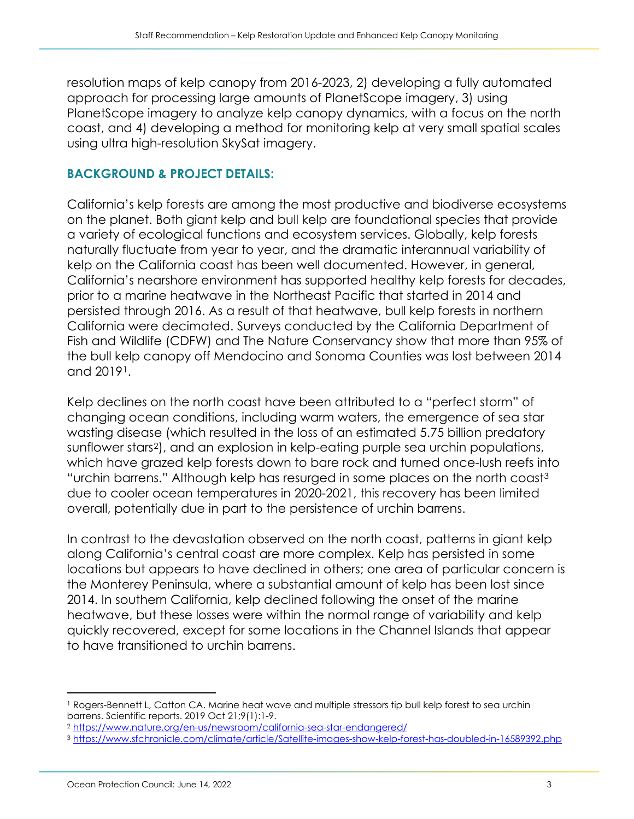resolution maps of kelp canopy from 2016-2023, 2) developing a fully automated approach for processing large amounts of PlanetScope imagery, 3) using PlanetScope imagery to analyze kelp canopy dynamics, with a focus on the north coast, and 4) developing a method for monitoring kelp at very small spatial scales using ultra high-resolution SkySat imagery.

#### **BACKGROUND & PROJECT DETAILS:**

California's kelp forests are among the most productive and biodiverse ecosystems on the planet. Both giant kelp and bull kelp are foundational species that provide a variety of ecological functions and ecosystem services. Globally, kelp forests naturally fluctuate from year to year, and the dramatic interannual variability of kelp on the California coast has been well documented. However, in general, California's nearshore environment has supported healthy kelp forests for decades, prior to a marine heatwave in the Northeast Pacific that started in 2014 and persisted through 2016. As a result of that heatwave, bull kelp forests in northern California were decimated. Surveys conducted by the California Department of Fish and Wildlife (CDFW) and The Nature Conservancy show that more than 95% of the bull kelp canopy off Mendocino and Sonoma Counties was lost between 2014 and 2019[1](#page-2-0).

Kelp declines on the north coast have been attributed to a "perfect storm" of changing ocean conditions, including warm waters, the emergence of sea star wasting disease (which resulted in the loss of an estimated 5.75 billion predatory sunflower stars[2](#page-2-1)), and an explosion in kelp-eating purple sea urchin populations, which have grazed kelp forests down to bare rock and turned once-lush reefs into "urchin barrens." Although kelp has resurged in some places on the north coast[3](#page-2-2) due to cooler ocean temperatures in 2020-2021, this recovery has been limited overall, potentially due in part to the persistence of urchin barrens.

In contrast to the devastation observed on the north coast, patterns in giant kelp along California's central coast are more complex. Kelp has persisted in some locations but appears to have declined in others; one area of particular concern is the Monterey Peninsula, where a substantial amount of kelp has been lost since 2014. In southern California, kelp declined following the onset of the marine heatwave, but these losses were within the normal range of variability and kelp quickly recovered, except for some locations in the Channel Islands that appear to have transitioned to urchin barrens.

<span id="page-2-0"></span><sup>1</sup> Rogers-Bennett L, Catton CA. Marine heat wave and multiple stressors tip bull kelp forest to sea urchin barrens. Scientific reports. 2019 Oct 21;9(1):1-9.

<span id="page-2-2"></span><span id="page-2-1"></span><sup>&</sup>lt;sup>2</sup> <u>https://www.nature.org/en-us/newsroom/california-sea-star-endangered/</u><br><sup>3</sup> <u><https://www.sfchronicle.com/climate/article/Satellite-images-show-kelp-forest-has-doubled-in-16589392.php></u>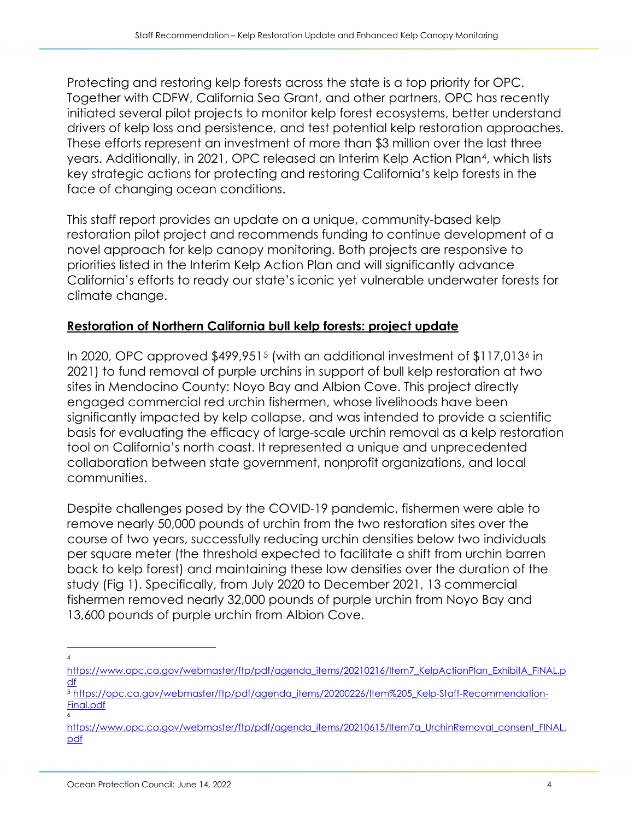Protecting and restoring kelp forests across the state is a top priority for OPC. Together with CDFW, California Sea Grant, and other partners, OPC has recently initiated several pilot projects to monitor kelp forest ecosystems, better understand drivers of kelp loss and persistence, and test potential kelp restoration approaches. These efforts represent an investment of more than \$3 million over the last three years. Additionally, in 2021, OPC released an Interim Kelp Action Plan[4,](#page-3-0) which lists key strategic actions for protecting and restoring California's kelp forests in the face of changing ocean conditions.

This staff report provides an update on a unique, community-based kelp restoration pilot project and recommends funding to continue development of a novel approach for kelp canopy monitoring. Both projects are responsive to priorities listed in the Interim Kelp Action Plan and will significantly advance California's efforts to ready our state's iconic yet vulnerable underwater forests for climate change.

## **Restoration of Northern California bull kelp forests: project update**

In 2020, OPC approved \$499,951[5](#page-3-1) (with an additional investment of \$117,013[6](#page-3-2) in 2021) to fund removal of purple urchins in support of bull kelp restoration at two sites in Mendocino County: Noyo Bay and Albion Cove. This project directly engaged commercial red urchin fishermen, whose livelihoods have been significantly impacted by kelp collapse, and was intended to provide a scientific basis for evaluating the efficacy of large-scale urchin removal as a kelp restoration tool on California's north coast. It represented a unique and unprecedented collaboration between state government, nonprofit organizations, and local communities.

Despite challenges posed by the COVID-19 pandemic, fishermen were able to remove nearly 50,000 pounds of urchin from the two restoration sites over the course of two years, successfully reducing urchin densities below two individuals per square meter (the threshold expected to facilitate a shift from urchin barren back to kelp forest) and maintaining these low densities over the duration of the study (Fig 1). Specifically, from July 2020 to December 2021, 13 commercial fishermen removed nearly 32,000 pounds of purple urchin from Noyo Bay and 13,600 pounds of purple urchin from Albion Cove.

<sup>4</sup>

<span id="page-3-0"></span>[https://www.opc.ca.gov/webmaster/ftp/pdf/agenda\\_items/20210216/Item7\\_KelpActionPlan\\_ExhibitA\\_FINAL.p](https://www.opc.ca.gov/webmaster/ftp/pdf/agenda_items/20210216/Item7_KelpActionPlan_ExhibitA_FINAL.pdf)

<span id="page-3-1"></span><sup>&</sup>lt;sup>5</sup> [https://opc.ca.gov/webmaster/ftp/pdf/agenda\\_items/20200226/Item%205\\_Kelp-Staff-Recommendation-](https://opc.ca.gov/webmaster/ftp/pdf/agenda_items/20200226/Item%205_Kelp-Staff-Recommendation-Final.pdf)Final.pdf

<span id="page-3-2"></span>[https://www.opc.ca.gov/webmaster/ftp/pdf/agenda\\_items/20210615/Item7a\\_UrchinRemoval\\_consent\\_FINAL.](https://www.opc.ca.gov/webmaster/ftp/pdf/agenda_items/20210615/Item7a_UrchinRemoval_consent_FINAL.pdf) [pdf](https://www.opc.ca.gov/webmaster/ftp/pdf/agenda_items/20210615/Item7a_UrchinRemoval_consent_FINAL.pdf)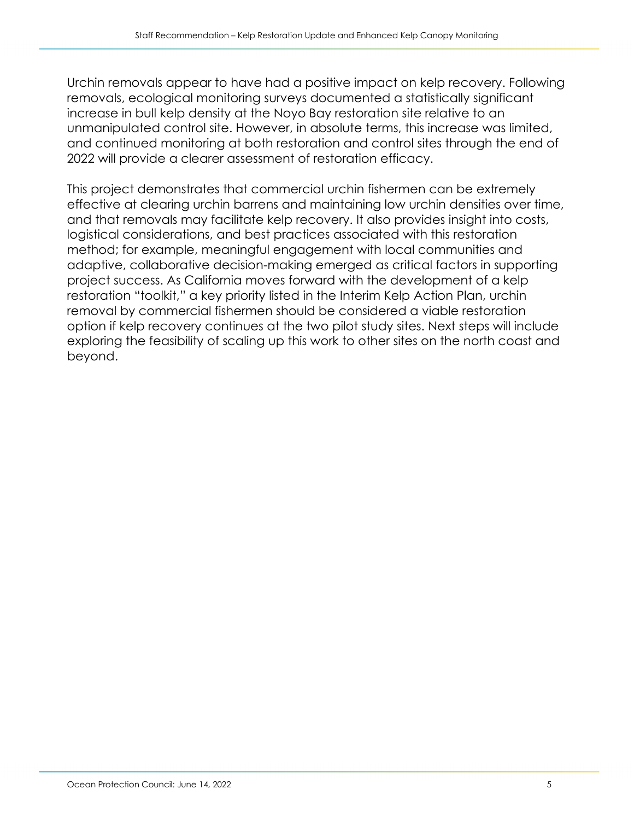Urchin removals appear to have had a positive impact on kelp recovery. Following removals, ecological monitoring surveys documented a statistically significant increase in bull kelp density at the Noyo Bay restoration site relative to an unmanipulated control site. However, in absolute terms, this increase was limited, and continued monitoring at both restoration and control sites through the end of 2022 will provide a clearer assessment of restoration efficacy.

This project demonstrates that commercial urchin fishermen can be extremely effective at clearing urchin barrens and maintaining low urchin densities over time, and that removals may facilitate kelp recovery. It also provides insight into costs, logistical considerations, and best practices associated with this restoration method; for example, meaningful engagement with local communities and adaptive, collaborative decision-making emerged as critical factors in supporting project success. As California moves forward with the development of a kelp restoration "toolkit," a key priority listed in the Interim Kelp Action Plan, urchin removal by commercial fishermen should be considered a viable restoration option if kelp recovery continues at the two pilot study sites. Next steps will include exploring the feasibility of scaling up this work to other sites on the north coast and beyond.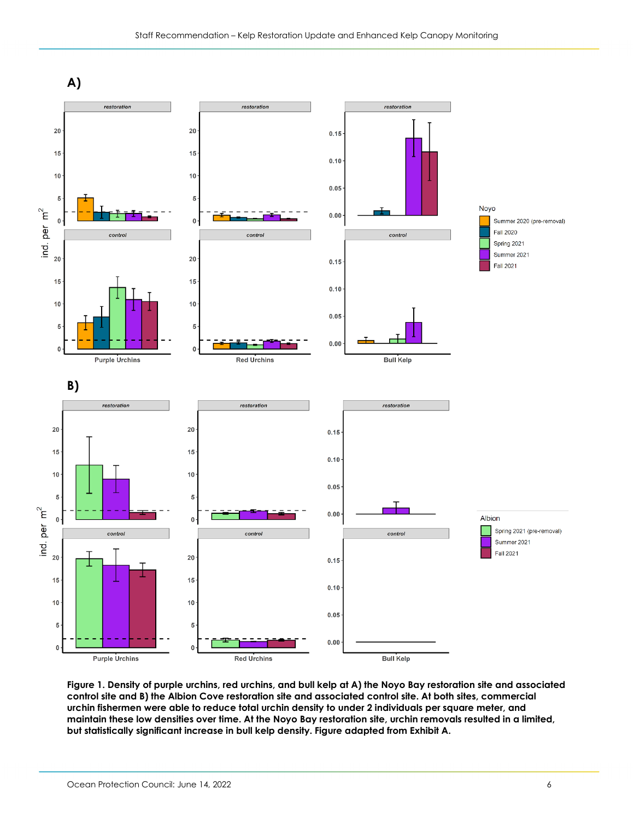

**Figure 1. Density of purple urchins, red urchins, and bull kelp at A) the Noyo Bay restoration site and associated control site and B) the Albion Cove restoration site and associated control site. At both sites, commercial urchin fishermen were able to reduce total urchin density to under 2 individuals per square meter, and maintain these low densities over time. At the Noyo Bay restoration site, urchin removals resulted in a limited, but statistically significant increase in bull kelp density. Figure adapted from Exhibit A.**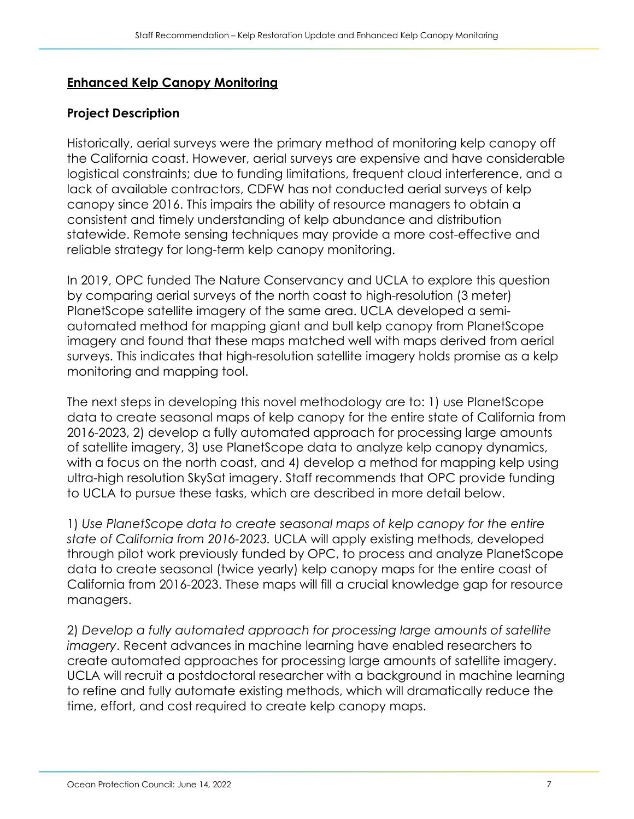#### **Enhanced Kelp Canopy Monitoring**

#### **Project Description**

Historically, aerial surveys were the primary method of monitoring kelp canopy off the California coast. However, aerial surveys are expensive and have considerable logistical constraints; due to funding limitations, frequent cloud interference, and a lack of available contractors, CDFW has not conducted aerial surveys of kelp canopy since 2016. This impairs the ability of resource managers to obtain a consistent and timely understanding of kelp abundance and distribution statewide. Remote sensing techniques may provide a more cost-effective and reliable strategy for long-term kelp canopy monitoring.

In 2019, OPC funded The Nature Conservancy and UCLA to explore this question by comparing aerial surveys of the north coast to high-resolution (3 meter) PlanetScope satellite imagery of the same area. UCLA developed a semiautomated method for mapping giant and bull kelp canopy from PlanetScope imagery and found that these maps matched well with maps derived from aerial surveys. This indicates that high-resolution satellite imagery holds promise as a kelp monitoring and mapping tool.

The next steps in developing this novel methodology are to: 1) use PlanetScope data to create seasonal maps of kelp canopy for the entire state of California from 2016-2023, 2) develop a fully automated approach for processing large amounts of satellite imagery, 3) use PlanetScope data to analyze kelp canopy dynamics, with a focus on the north coast, and 4) develop a method for mapping kelp using ultra-high resolution SkySat imagery. Staff recommends that OPC provide funding to UCLA to pursue these tasks, which are described in more detail below.

1) *Use PlanetScope data to create seasonal maps of kelp canopy for the entire state of California from 2016-2023.* UCLA will apply existing methods, developed through pilot work previously funded by OPC, to process and analyze PlanetScope data to create seasonal (twice yearly) kelp canopy maps for the entire coast of California from 2016-2023. These maps will fill a crucial knowledge gap for resource managers.

2) *Develop a fully automated approach for processing large amounts of satellite imagery*. Recent advances in machine learning have enabled researchers to create automated approaches for processing large amounts of satellite imagery. UCLA will recruit a postdoctoral researcher with a background in machine learning to refine and fully automate existing methods, which will dramatically reduce the time, effort, and cost required to create kelp canopy maps.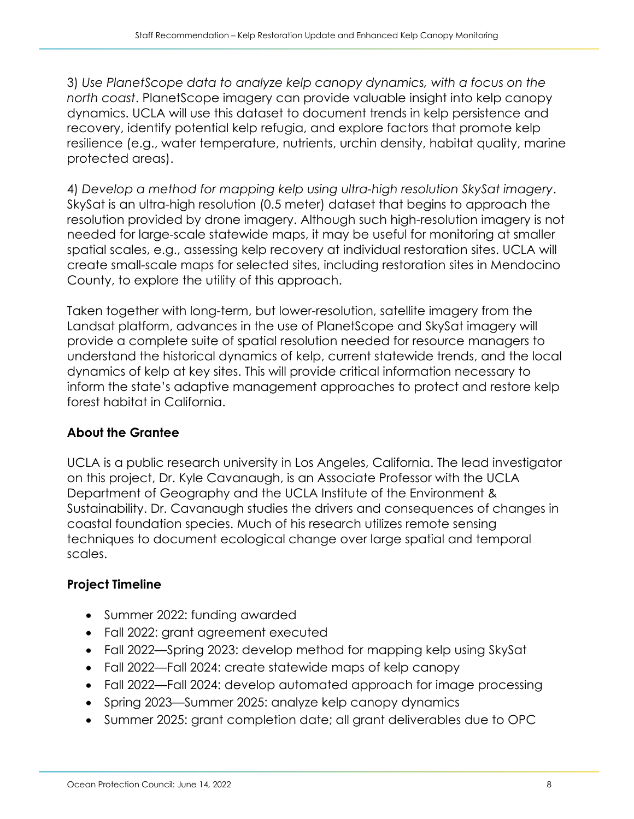3) *Use PlanetScope data to analyze kelp canopy dynamics, with a focus on the north coast*. PlanetScope imagery can provide valuable insight into kelp canopy dynamics. UCLA will use this dataset to document trends in kelp persistence and recovery, identify potential kelp refugia, and explore factors that promote kelp resilience (e.g., water temperature, nutrients, urchin density, habitat quality, marine protected areas).

4) *Develop a method for mapping kelp using ultra-high resolution SkySat imagery*. SkySat is an ultra-high resolution (0.5 meter) dataset that begins to approach the resolution provided by drone imagery. Although such high-resolution imagery is not needed for large-scale statewide maps, it may be useful for monitoring at smaller spatial scales, e.g., assessing kelp recovery at individual restoration sites. UCLA will create small-scale maps for selected sites, including restoration sites in Mendocino County, to explore the utility of this approach.

Taken together with long-term, but lower-resolution, satellite imagery from the Landsat platform, advances in the use of PlanetScope and SkySat imagery will provide a complete suite of spatial resolution needed for resource managers to understand the historical dynamics of kelp, current statewide trends, and the local dynamics of kelp at key sites. This will provide critical information necessary to inform the state's adaptive management approaches to protect and restore kelp forest habitat in California.

## **About the Grantee**

UCLA is a public research university in Los Angeles, California. The lead investigator on this project, Dr. Kyle Cavanaugh, is an Associate Professor with the UCLA Department of Geography and the UCLA Institute of the Environment & Sustainability. Dr. Cavanaugh studies the drivers and consequences of changes in coastal foundation species. Much of his research utilizes remote sensing techniques to document ecological change over large spatial and temporal scales.

## **Project Timeline**

- Summer 2022: funding awarded
- Fall 2022: grant agreement executed
- Fall 2022—Spring 2023: develop method for mapping kelp using SkySat
- Fall 2022—Fall 2024: create statewide maps of kelp canopy
- Fall 2022—Fall 2024: develop automated approach for image processing
- Spring 2023—Summer 2025: analyze kelp canopy dynamics
- Summer 2025: grant completion date; all grant deliverables due to OPC